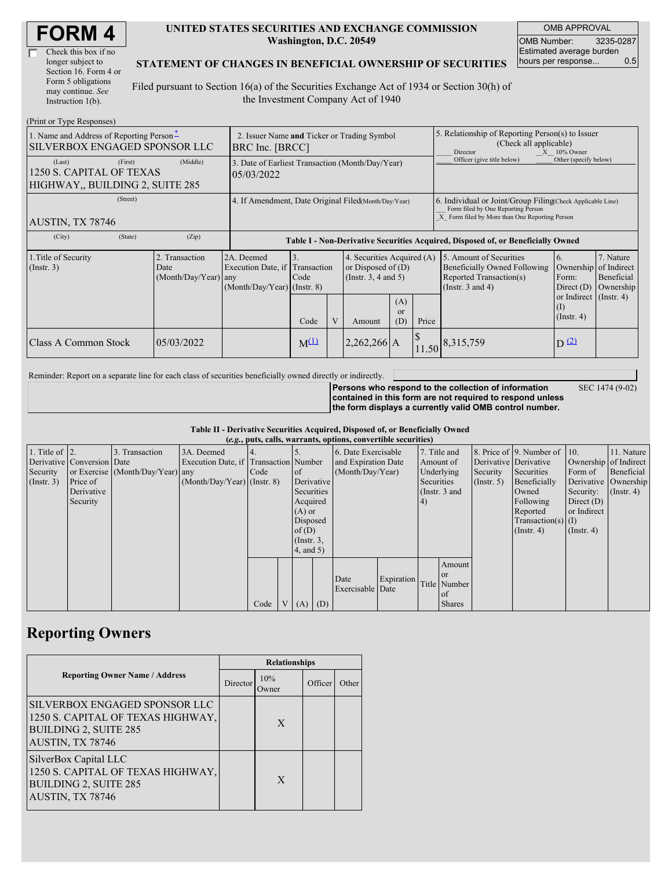| <b>FORM4</b> |
|--------------|
|--------------|

| Check this box if no  |
|-----------------------|
| longer subject to     |
| Section 16. Form 4 or |
| Form 5 obligations    |
| may continue. See     |
| Instruction $1(b)$ .  |

### **UNITED STATES SECURITIES AND EXCHANGE COMMISSION Washington, D.C. 20549**

OMB APPROVAL OMB Number: 3235-0287 Estimated average burden hours per response... 0.5

SEC 1474 (9-02)

### **STATEMENT OF CHANGES IN BENEFICIAL OWNERSHIP OF SECURITIES**

Filed pursuant to Section 16(a) of the Securities Exchange Act of 1934 or Section 30(h) of the Investment Company Act of 1940

| (Print or Type Responses)                                                       |                                                                |                                  |                                                                                                                                        |  |             |                         |                                                                                                                                                    |                                          |                                                      |  |
|---------------------------------------------------------------------------------|----------------------------------------------------------------|----------------------------------|----------------------------------------------------------------------------------------------------------------------------------------|--|-------------|-------------------------|----------------------------------------------------------------------------------------------------------------------------------------------------|------------------------------------------|------------------------------------------------------|--|
| 1. Name and Address of Reporting Person-<br>SILVERBOX ENGAGED SPONSOR LLC       | 2. Issuer Name and Ticker or Trading Symbol<br>BRC Inc. [BRCC] |                                  |                                                                                                                                        |  |             |                         | 5. Relationship of Reporting Person(s) to Issuer<br>(Check all applicable)<br>Director<br>$X = 10\%$ Owner                                         |                                          |                                                      |  |
| (First)<br>(Last)<br>1250 S. CAPITAL OF TEXAS<br>HIGHWAY, BUILDING 2, SUITE 285 | (Middle)                                                       | 05/03/2022                       | 3. Date of Earliest Transaction (Month/Day/Year)                                                                                       |  |             |                         |                                                                                                                                                    | Officer (give title below)               | Other (specify below)                                |  |
| (Street)<br>AUSTIN, TX 78746                                                    | 4. If Amendment, Date Original Filed(Month/Day/Year)           |                                  |                                                                                                                                        |  |             |                         | 6. Individual or Joint/Group Filing Check Applicable Line)<br>Form filed by One Reporting Person<br>X Form filed by More than One Reporting Person |                                          |                                                      |  |
| (City)<br>(State)                                                               | (Zip)                                                          |                                  | Table I - Non-Derivative Securities Acquired, Disposed of, or Beneficially Owned                                                       |  |             |                         |                                                                                                                                                    |                                          |                                                      |  |
| 1. Title of Security<br>$($ Instr. 3 $)$                                        | 2. Transaction<br>Date<br>$(Month/Day/Year)$ any               | 2A. Deemed<br>Execution Date, if | 4. Securities Acquired (A)<br>Transaction<br>or Disposed of $(D)$<br>(Instr. $3, 4$ and $5$ )<br>Code<br>$(Month/Day/Year)$ (Instr. 8) |  |             |                         | 5. Amount of Securities<br>Beneficially Owned Following<br>Reported Transaction(s)<br>(Instr. $3$ and $4$ )                                        | 6.<br>Ownership<br>Form:<br>Direct $(D)$ | 7. Nature<br>of Indirect<br>Beneficial<br>Ownership  |  |
|                                                                                 |                                                                |                                  | Code                                                                                                                                   |  | Amount      | (A)<br><b>or</b><br>(D) | Price                                                                                                                                              |                                          | or Indirect $($ Instr. 4)<br>(I)<br>$($ Instr. 4 $)$ |  |
| Class A Common Stock                                                            | 05/03/2022                                                     |                                  | $M^{(1)}$                                                                                                                              |  | 2,262,266 A |                         |                                                                                                                                                    | $11.50$ 8,315,759                        | $D^{(2)}$                                            |  |

Reminder: Report on a separate line for each class of securities beneficially owned directly or indirectly.

**Persons who respond to the collection of information contained in this form are not required to respond unless the form displays a currently valid OMB control number.**

**Table II - Derivative Securities Acquired, Disposed of, or Beneficially Owned**

|                        | (e.g., puts, calls, warrants, options, convertible securities) |                                  |                                       |      |  |                 |  |                     |            |            |               |                  |                              |                  |                       |
|------------------------|----------------------------------------------------------------|----------------------------------|---------------------------------------|------|--|-----------------|--|---------------------|------------|------------|---------------|------------------|------------------------------|------------------|-----------------------|
| 1. Title of $\vert$ 2. |                                                                | 3. Transaction                   | 3A. Deemed                            |      |  |                 |  | 6. Date Exercisable |            |            | 7. Title and  |                  | 8. Price of 9. Number of 10. |                  | 11. Nature            |
|                        | Derivative Conversion Date                                     |                                  | Execution Date, if Transaction Number |      |  |                 |  | and Expiration Date |            | Amount of  |               |                  | Derivative Derivative        |                  | Ownership of Indirect |
| Security               |                                                                | or Exercise (Month/Day/Year) any |                                       | Code |  | of              |  | (Month/Day/Year)    |            |            | Underlying    | Security         | Securities                   | Form of          | Beneficial            |
| $($ Instr. 3 $)$       | Price of                                                       |                                  | $(Month/Day/Year)$ (Instr. 8)         |      |  | Derivative      |  |                     |            | Securities |               | $($ Instr. 5 $)$ | Beneficially                 |                  | Derivative Ownership  |
|                        | Derivative                                                     |                                  |                                       |      |  | Securities      |  |                     |            |            | (Instr. 3 and |                  | Owned                        | Security:        | $($ Instr. 4 $)$      |
|                        | Security                                                       |                                  |                                       |      |  | Acquired        |  |                     |            | 4)         |               |                  | Following                    | Direct $(D)$     |                       |
|                        |                                                                |                                  |                                       |      |  | $(A)$ or        |  |                     |            |            |               |                  | Reported                     | or Indirect      |                       |
|                        |                                                                |                                  |                                       |      |  | Disposed        |  |                     |            |            |               |                  | Transaction(s) $(I)$         |                  |                       |
|                        |                                                                |                                  |                                       |      |  | of(D)           |  |                     |            |            |               |                  | $($ Instr. 4 $)$             | $($ Instr. 4 $)$ |                       |
|                        |                                                                |                                  |                                       |      |  | $($ Instr. $3,$ |  |                     |            |            |               |                  |                              |                  |                       |
|                        |                                                                |                                  |                                       |      |  | $4$ , and $5$ ) |  |                     |            |            |               |                  |                              |                  |                       |
|                        |                                                                |                                  |                                       |      |  |                 |  |                     |            |            | Amount        |                  |                              |                  |                       |
|                        |                                                                |                                  |                                       |      |  |                 |  | Date                |            |            | <b>or</b>     |                  |                              |                  |                       |
|                        |                                                                |                                  |                                       |      |  |                 |  | Exercisable Date    | Expiration |            | Title Number  |                  |                              |                  |                       |
|                        |                                                                |                                  |                                       |      |  |                 |  |                     |            |            | of            |                  |                              |                  |                       |
|                        |                                                                |                                  |                                       | Code |  | $V(A)$ (D)      |  |                     |            |            | <b>Shares</b> |                  |                              |                  |                       |

## **Reporting Owners**

|                                                                                                                        | <b>Relationships</b> |              |         |       |  |  |
|------------------------------------------------------------------------------------------------------------------------|----------------------|--------------|---------|-------|--|--|
| <b>Reporting Owner Name / Address</b>                                                                                  | Director             | 10%<br>Owner | Officer | Other |  |  |
| SILVERBOX ENGAGED SPONSOR LLC<br>1250 S. CAPITAL OF TEXAS HIGHWAY,<br><b>BUILDING 2, SUITE 285</b><br>AUSTIN, TX 78746 |                      | $\mathbf{X}$ |         |       |  |  |
| SilverBox Capital LLC<br>1250 S. CAPITAL OF TEXAS HIGHWAY,<br><b>BUILDING 2, SUITE 285</b><br>AUSTIN, TX 78746         |                      | X            |         |       |  |  |